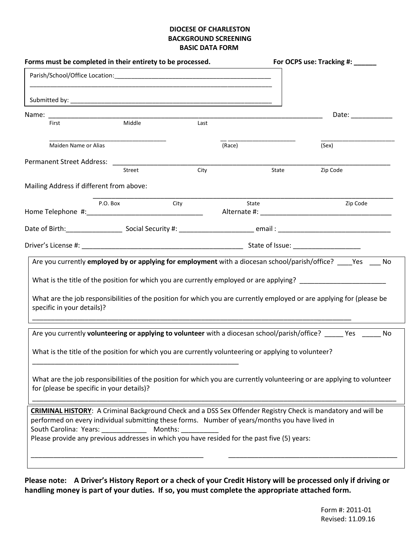#### **DIOCESE OF CHARLESTON BACKGROUND SCREENING BASIC DATA FORM**

| Forms must be completed in their entirety to be processed.                                                                                             |          |                                                                                                                |        |       | For OCPS use: Tracking #:                                                                                               |
|--------------------------------------------------------------------------------------------------------------------------------------------------------|----------|----------------------------------------------------------------------------------------------------------------|--------|-------|-------------------------------------------------------------------------------------------------------------------------|
|                                                                                                                                                        |          | a se de la construcción de la construcción de la construcción de la construcción de la construcción de la cons |        |       |                                                                                                                         |
|                                                                                                                                                        |          |                                                                                                                |        |       |                                                                                                                         |
|                                                                                                                                                        |          |                                                                                                                |        |       | Date: ____________                                                                                                      |
| First                                                                                                                                                  | Middle   | Last                                                                                                           |        |       |                                                                                                                         |
| Maiden Name or Alias                                                                                                                                   |          |                                                                                                                | (Race) |       | (Sex)                                                                                                                   |
|                                                                                                                                                        |          |                                                                                                                |        |       |                                                                                                                         |
|                                                                                                                                                        | Street   | City                                                                                                           |        | State | Zip Code                                                                                                                |
| Mailing Address if different from above:                                                                                                               |          |                                                                                                                |        |       |                                                                                                                         |
|                                                                                                                                                        | P.O. Box | City                                                                                                           |        | State | Zip Code                                                                                                                |
|                                                                                                                                                        |          |                                                                                                                |        |       |                                                                                                                         |
|                                                                                                                                                        |          |                                                                                                                |        |       |                                                                                                                         |
|                                                                                                                                                        |          |                                                                                                                |        |       | Are you currently employed by or applying for employment with a diocesan school/parish/office? Yes No                   |
|                                                                                                                                                        |          |                                                                                                                |        |       | What is the title of the position for which you are currently employed or are applying? ______________________          |
|                                                                                                                                                        |          |                                                                                                                |        |       |                                                                                                                         |
| specific in your details)?                                                                                                                             |          |                                                                                                                |        |       | What are the job responsibilities of the position for which you are currently employed or are applying for (please be   |
|                                                                                                                                                        |          |                                                                                                                |        |       | Are you currently volunteering or applying to volunteer with a diocesan school/parish/office? ______ Yes ______ No      |
| What is the title of the position for which you are currently volunteering or applying to volunteer?                                                   |          |                                                                                                                |        |       |                                                                                                                         |
|                                                                                                                                                        |          |                                                                                                                |        |       |                                                                                                                         |
| for (please be specific in your details)?                                                                                                              |          |                                                                                                                |        |       | What are the job responsibilities of the position for which you are currently volunteering or are applying to volunteer |
|                                                                                                                                                        |          |                                                                                                                |        |       | <b>CRIMINAL HISTORY:</b> A Criminal Background Check and a DSS Sex Offender Registry Check is mandatory and will be     |
| performed on every individual submitting these forms. Number of years/months you have lived in                                                         |          |                                                                                                                |        |       |                                                                                                                         |
| South Carolina: Years: ________________ Months: ______<br>Please provide any previous addresses in which you have resided for the past five (5) years: |          |                                                                                                                |        |       |                                                                                                                         |
|                                                                                                                                                        |          |                                                                                                                |        |       |                                                                                                                         |
|                                                                                                                                                        |          |                                                                                                                |        |       |                                                                                                                         |

**Please note: A Driver's History Report or a check of your Credit History will be processed only if driving or handling money is part of your duties. If so, you must complete the appropriate attached form.**

> Form #: 2011-01 Revised: 11.09.16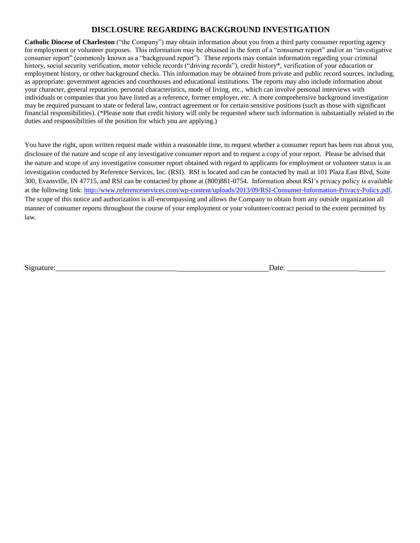# **DISCLOSURE REGARDING BACKGROUND INVESTIGATION**

**Catholic Diocese of Charleston** ("the Company") may obtain information about you from a third party consumer reporting agency for employment or volunteer purposes. This information may be obtained in the form of a "consumer report" and/or an "investigative consumer report" (commonly known as a "background report"). These reports may contain information regarding your criminal history, social security verification, motor vehicle records ("driving records"), credit history\*, verification of your education or employment history, or other background checks. This information may be obtained from private and public record sources, including, as appropriate: government agencies and courthouses and educational institutions. The reports may also include information about your character, general reputation, personal characteristics, mode of living, etc., which can involve personal interviews with individuals or companies that you have listed as a reference, former employer, etc. A more comprehensive background investigation may be required pursuant to state or federal law, contract agreement or for certain sensitive positions (such as those with significant financial responsibilities). (\*Please note that credit history will only be requested where such information is substantially related to the duties and responsibilities of the position for which you are applying.)

You have the right, upon written request made within a reasonable time, to request whether a consumer report has been run about you, disclosure of the nature and scope of any investigative consumer report and to request a copy of your report. Please be advised that the nature and scope of any investigative consumer report obtained with regard to applicants for employment or volunteer status is an investigation conducted by Reference Services, Inc. (RSI). RSI is located and can be contacted by mail at 101 Plaza East Blvd, Suite 300, Evansville, IN 47715, and RSI can be contacted by phone at (800)881-0754. Information about RSI's privacy policy is available at the following link: [http://www.referenceservices.com/wp-content/uploads/2013/09/RSI-Consumer-Information-Privacy-Policy.pdf.](http://www.referenceservices.com/wp-content/uploads/2013/09/RSI-Consumer-Information-Privacy-Policy.pdf) The scope of this notice and authorization is all-encompassing and allows the Company to obtain from any outside organization all manner of consumer reports throughout the course of your employment or your volunteer/contract period to the extent permitted by law.

Signature:\_\_\_\_\_\_\_\_\_\_\_\_\_\_\_\_\_\_\_\_\_\_\_\_\_\_\_\_\_\_\_\_ Date: \_\_\_\_\_\_\_\_\_\_\_\_\_\_\_\_\_\_\_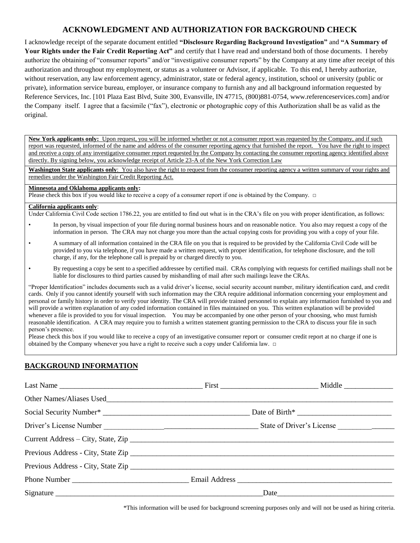# **ACKNOWLEDGMENT AND AUTHORIZATION FOR BACKGROUND CHECK**

I acknowledge receipt of the separate document entitled **"Disclosure Regarding Background Investigation"** and **"A Summary of Your Rights under the Fair Credit Reporting Act"** and certify that I have read and understand both of those documents. I hereby authorize the obtaining of "consumer reports" and/or "investigative consumer reports" by the Company at any time after receipt of this authorization and throughout my employment, or status as a volunteer or Advisor, if applicable. To this end, I hereby authorize, without reservation, any law enforcement agency, administrator, state or federal agency, institution, school or university (public or private), information service bureau, employer, or insurance company to furnish any and all background information requested by Reference Services, Inc. [101 Plaza East Blvd, Suite 300, Evansville, IN 47715, (800)881-0754, www.referenceservices.com] and/or the Company itself. I agree that a facsimile ("fax"), electronic or photographic copy of this Authorization shall be as valid as the original.

New York applicants only: Upon request, you will be informed whether or not a consumer report was requested by the Company, and if such report was requested, informed of the name and address of the consumer reporting agency that furnished the report. You have the right to inspect and receive a copy of any investigative consumer report requested by the Company by contacting the consumer reporting agency identified above directly. By signing below, you acknowledge receipt of Article 23-A of the New York Correction Law

**Washington State applicants only**: You also have the right to request from the consumer reporting agency a written summary of your rights and remedies under the Washington Fair Credit Reporting Act.

#### **Minnesota and Oklahoma applicants only:**

Please check this box if you would like to receive a copy of a consumer report if one is obtained by the Company.  $\Box$ 

#### **California applicants only**:

Under California Civil Code section 1786.22, you are entitled to find out what is in the CRA's file on you with proper identification, as follows:

- In person, by visual inspection of your file during normal business hours and on reasonable notice. You also may request a copy of the information in person. The CRA may not charge you more than the actual copying costs for providing you with a copy of your file.
- A summary of all information contained in the CRA file on you that is required to be provided by the California Civil Code will be provided to you via telephone, if you have made a written request, with proper identification, for telephone disclosure, and the toll charge, if any, for the telephone call is prepaid by or charged directly to you.
- By requesting a copy be sent to a specified addressee by certified mail. CRAs complying with requests for certified mailings shall not be liable for disclosures to third parties caused by mishandling of mail after such mailings leave the CRAs.

"Proper Identification" includes documents such as a valid driver's license, social security account number, military identification card, and credit cards. Only if you cannot identify yourself with such information may the CRA require additional information concerning your employment and personal or family history in order to verify your identity. The CRA will provide trained personnel to explain any information furnished to you and will provide a written explanation of any coded information contained in files maintained on you. This written explanation will be provided whenever a file is provided to you for visual inspection. You may be accompanied by one other person of your choosing, who must furnish reasonable identification. A CRA may require you to furnish a written statement granting permission to the CRA to discuss your file in such person's presence.

Please check this box if you would like to receive a copy of an investigative consumer report or consumer credit report at no charge if one is obtained by the Company whenever you have a right to receive such a copy under California law.  $\Box$ 

#### **BACKGROUND INFORMATION**

\*This information will be used for background screening purposes only and will not be used as hiring criteria.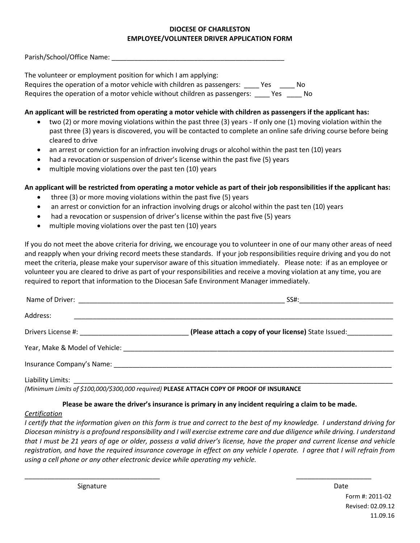#### **DIOCESE OF CHARLESTON EMPLOYEE/VOLUNTEER DRIVER APPLICATION FORM**

Parish/School/Office Name:

The volunteer or employment position for which I am applying: Requires the operation of a motor vehicle with children as passengers: \_\_\_\_ Yes \_\_\_\_ No Requires the operation of a motor vehicle without children as passengers: \_\_\_\_ Yes \_\_\_\_ No

## **An applicant will be restricted from operating a motor vehicle with children as passengers if the applicant has:**

- two (2) or more moving violations within the past three (3) years If only one (1) moving violation within the past three (3) years is discovered, you will be contacted to complete an online safe driving course before being cleared to drive
- an arrest or conviction for an infraction involving drugs or alcohol within the past ten (10) years
- had a revocation or suspension of driver's license within the past five (5) years
- multiple moving violations over the past ten (10) years

## **An applicant will be restricted from operating a motor vehicle as part of their job responsibilities if the applicant has:**

- three (3) or more moving violations within the past five (5) years
- an arrest or conviction for an infraction involving drugs or alcohol within the past ten (10) years
- had a revocation or suspension of driver's license within the past five (5) years
- multiple moving violations over the past ten (10) years

If you do not meet the above criteria for driving, we encourage you to volunteer in one of our many other areas of need and reapply when your driving record meets these standards. If your job responsibilities require driving and you do not meet the criteria, please make your supervisor aware of this situation immediately. Please note: if as an employee or volunteer you are cleared to drive as part of your responsibilities and receive a moving violation at any time, you are required to report that information to the Diocesan Safe Environment Manager immediately.

| Address: |                                                                                           |
|----------|-------------------------------------------------------------------------------------------|
|          | (Please attach a copy of your license) State Issued:                                      |
|          |                                                                                           |
|          |                                                                                           |
|          |                                                                                           |
|          | (Minimum Limits of \$100,000/\$300,000 required) PLEASE ATTACH COPY OF PROOF OF INSURANCE |

### **Please be aware the driver's insurance is primary in any incident requiring a claim to be made.**

### *Certification*

*I certify that the information given on this form is true and correct to the best of my knowledge. I understand driving for Diocesan ministry is a profound responsibility and I will exercise extreme care and due diligence while driving. I understand that I must be 21 years of age or older, possess a valid driver's license, have the proper and current license and vehicle registration, and have the required insurance coverage in effect on any vehicle I operate. I agree that I will refrain from using a cell phone or any other electronic device while operating my vehicle.* 

\_\_\_\_\_\_\_\_\_\_\_\_\_\_\_\_\_\_\_\_\_\_\_\_\_\_\_\_\_\_\_\_\_\_\_\_ \_\_\_\_\_\_\_\_\_\_\_\_\_\_\_\_\_\_\_\_

Signature **Date** 

Form #: 2011-02 Revised: 02.09.12 11.09.16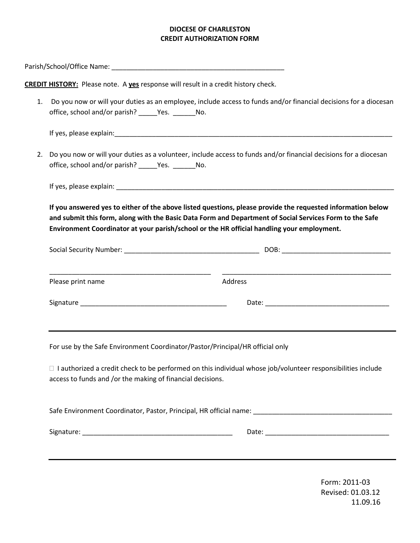#### **DIOCESE OF CHARLESTON CREDIT AUTHORIZATION FORM**

Parish/School/Office Name: \_\_\_\_\_\_\_\_\_\_\_\_\_\_\_\_\_\_\_\_\_\_\_\_\_\_\_\_\_\_\_\_\_\_\_\_\_\_\_\_\_\_\_\_\_\_

**CREDIT HISTORY:** Please note. A **yes** response will result in a credit history check.

1. Do you now or will your duties as an employee, include access to funds and/or financial decisions for a diocesan office, school and/or parish? \_\_\_\_\_Yes. \_\_\_\_\_\_No.

If yes, please explain:\_\_\_\_\_\_\_\_\_\_\_\_\_\_\_\_\_\_\_\_\_\_\_\_\_\_\_\_\_\_\_\_\_\_\_\_\_\_\_\_\_\_\_\_\_\_\_\_\_\_\_\_\_\_\_\_\_\_\_\_\_\_\_\_\_\_\_\_\_\_\_\_\_\_

2. Do you now or will your duties as a volunteer, include access to funds and/or financial decisions for a diocesan office, school and/or parish? \_\_\_\_\_Yes. \_\_\_\_\_\_No.

If yes, please explain: **We are all that the set of the set of the set of the set of the set of the set of the set of the set of the set of the set of the set of the set of the set of the set of the set of the set of the s** 

**If you answered yes to either of the above listed questions, please provide the requested information below and submit this form, along with the Basic Data Form and Department of Social Services Form to the Safe Environment Coordinator at your parish/school or the HR official handling your employment.**

|                   | DOB:<br><u> 1980 - Johann Barn, mars and de Branch Barn, mars and de Branch Barn, mars and de Branch Barn, mars and de Br</u> |  |
|-------------------|-------------------------------------------------------------------------------------------------------------------------------|--|
| Please print name | Address                                                                                                                       |  |
| Signature         | Date: <u>_________________________</u>                                                                                        |  |

For use by the Safe Environment Coordinator/Pastor/Principal/HR official only

 $\Box$  I authorized a credit check to be performed on this individual whose job/volunteer responsibilities include access to funds and /or the making of financial decisions.

Safe Environment Coordinator, Pastor, Principal, HR official name: \_\_\_\_\_\_\_\_\_\_\_\_\_

Signature: \_\_\_\_\_\_\_\_\_\_\_\_\_\_\_\_\_\_\_\_\_\_\_\_\_\_\_\_\_\_\_\_\_\_\_\_\_\_\_\_ Date: \_\_\_\_\_\_\_\_\_\_\_\_\_\_\_\_\_\_\_\_\_\_\_\_\_\_\_\_\_\_\_\_\_

Form: 2011-03 Revised: 01.03.12 11.09.16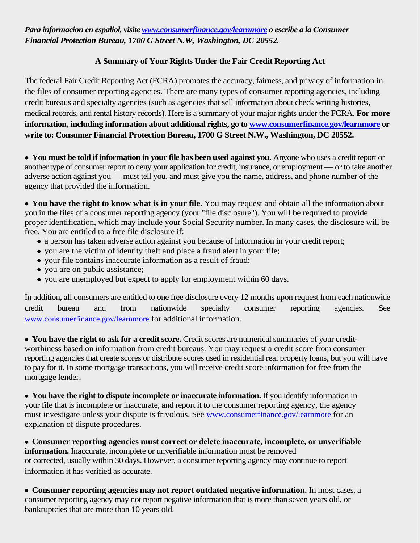# *Para informacion en espaliol, visite [www.consumerfinance.gov/learnmore](http://www.consumerfinance.gov/learnmore) o escribe a la Consumer Financial Protection Bureau, 1700 G Street N.W, Washington, DC 20552.*

# **A Summary of Your Rights Under the Fair Credit Reporting Act**

The federal Fair Credit Reporting Act (FCRA) promotes the accuracy, fairness, and privacy of information in the files of consumer reporting agencies. There are many types of consumer reporting agencies, including credit bureaus and specialty agencies (such as agencies that sell information about check writing histories, medical records, and rental history records). Here is a summary of your major rights under the FCRA. **For more information, including information about additional rights, go to [www.consumerfinance.gov/learnmore](http://www.consumerfinance.gov/learnmore) or write to: Consumer Financial Protection Bureau, 1700 G Street N.W., Washington, DC 20552.**

 **You must be told if information in your file has been used against you.** Anyone who uses a credit report or another type of consumer report to deny your application for credit, insurance, or employment — or to take another adverse action against you — must tell you, and must give you the name, address, and phone number of the agency that provided the information.

 **You have the right to know what is in your file.** You may request and obtain all the information about you in the files of a consumer reporting agency (your "file disclosure"). You will be required to provide proper identification, which may include your Social Security number. In many cases, the disclosure will be free. You are entitled to a free file disclosure if:

- a person has taken adverse action against you because of information in your credit report;
- you are the victim of identity theft and place a fraud alert in your file;
- your file contains inaccurate information as a result of fraud;
- you are on public assistance;
- you are unemployed but expect to apply for employment within 60 days.

In addition, all consumers are entitled to one free disclosure every 12 months upon request from each nationwide credit bureau and from nationwide specialty consumer reporting agencies. See [www.consumerfinance.gov/learnmore](http://www.consumerfinance.gov/learnmore) for additional information.

• You have the right to ask for a credit score. Credit scores are numerical summaries of your creditworthiness based on information from credit bureaus. You may request a credit score from consumer reporting agencies that create scores or distribute scores used in residential real property loans, but you will have to pay for it. In some mortgage transactions, you will receive credit score information for free from the mortgage lender.

 **You have the right to dispute incomplete or inaccurate information.** If you identify information in your file that is incomplete or inaccurate, and report it to the consumer reporting agency, the agency must investigate unless your dispute is frivolous. See [www.consumerfinance.gov/learnmore](http://www.consumerfinance.gov/learnmore) for an explanation of dispute procedures.

 **Consumer reporting agencies must correct or delete inaccurate, incomplete, or unverifiable information.** Inaccurate, incomplete or unverifiable information must be removed or corrected, usually within 30 days. However, a consumer reporting agency may continue to report information it has verified as accurate.

 **Consumer reporting agencies may not report outdated negative information.** In most cases, a consumer reporting agency may not report negative information that is more than seven years old, or bankruptcies that are more than 10 years old.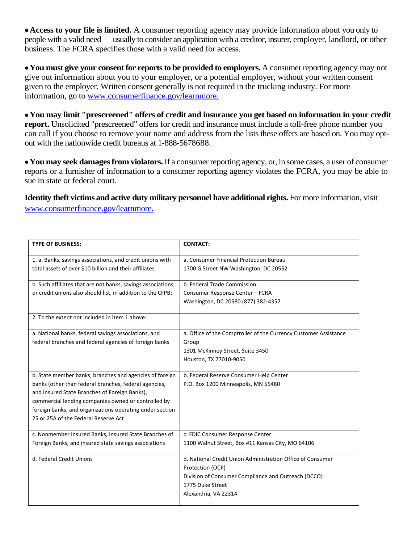**Access to your file is limited.** A consumer reporting agency may provide information about you only to people with a valid need — usually to consider an application with a creditor, insurer, employer, landlord, or other business. The FCRA specifies those with a valid need for access.

**You must give your consent for reports to be provided to employers.** A consumer reporting agency may not give out information about you to your employer, or a potential employer, without your written consent given to the employer. Written consent generally is not required in the trucking industry. For more information, go to [www.consumerfinance.gov/learnmore.](http://www.consumerfinance.gov/learnmore.)

**You may limit "prescreened" offers of credit and insurance you get based on information in your credit report.** Unsolicited "prescreened" offers for credit and insurance must include a toll-free phone number you can call if you choose to remove your name and address from the lists these offers are based on. You may optout with the nationwide credit bureaus at 1-888-5678688.

**You may seek damages from violators.** If a consumer reporting agency, or, in some cases, a user of consumer reports or a furnisher of information to a consumer reporting agency violates the FCRA, you may be able to sue in state or federal court.

**Identity theft victims and active duty military personnel have additional rights.** For more information, visit [www.consumerfinance.gov/learnmore.](http://www.consumerfinance.gov/learnmore.)

| <b>TYPE OF BUSINESS:</b>                                                                                                                                                                                                                                                                                                     | <b>CONTACT:</b>                                                                                                                                                                   |
|------------------------------------------------------------------------------------------------------------------------------------------------------------------------------------------------------------------------------------------------------------------------------------------------------------------------------|-----------------------------------------------------------------------------------------------------------------------------------------------------------------------------------|
| 1. a. Banks, savings associations, and credit unions with<br>total assets of over \$10 billion and their affiliates.                                                                                                                                                                                                         | a. Consumer Financial Protection Bureau<br>1700 G Street NW Washington, DC 20552                                                                                                  |
| b. Such affiliates that are not banks, savings associations,<br>or credit unions also should list, in addition to the CFPB:                                                                                                                                                                                                  | b. Federal Trade Commission:<br>Consumer Response Center - FCRA<br>Washington, DC 20580 (877) 382-4357                                                                            |
| 2. To the extent not included in item 1 above:                                                                                                                                                                                                                                                                               |                                                                                                                                                                                   |
| a. National banks, federal savings associations, and<br>federal branches and federal agencies of foreign banks                                                                                                                                                                                                               | a. Office of the Comptroller of the Currency Customer Assistance<br>Group<br>1301 McKinney Street, Suite 3450<br>Houston, TX 77010-9050                                           |
| b. State member banks, branches and agencies of foreign<br>banks (other than federal branches, federal agencies,<br>and Insured State Branches of Foreign Banks),<br>commercial lending companies owned or controlled by<br>foreign banks, and organizations operating under section<br>25 or 25A of the Federal Reserve Act | b. Federal Reserve Consumer Help Center<br>P.O. Box 1200 Minneapolis, MN 55480                                                                                                    |
| c. Nonmember Insured Banks, Insured State Branches of<br>Foreign Banks, and insured state savings associations                                                                                                                                                                                                               | c. FDIC Consumer Response Center<br>1100 Walnut Street, Box #11 Kansas City, MO 64106                                                                                             |
| d. Federal Credit Unions                                                                                                                                                                                                                                                                                                     | d. National Credit Union Administration Office of Consumer<br>Protection (OCP)<br>Division of Consumer Compliance and Outreach (DCCO)<br>1775 Duke Street<br>Alexandria, VA 22314 |